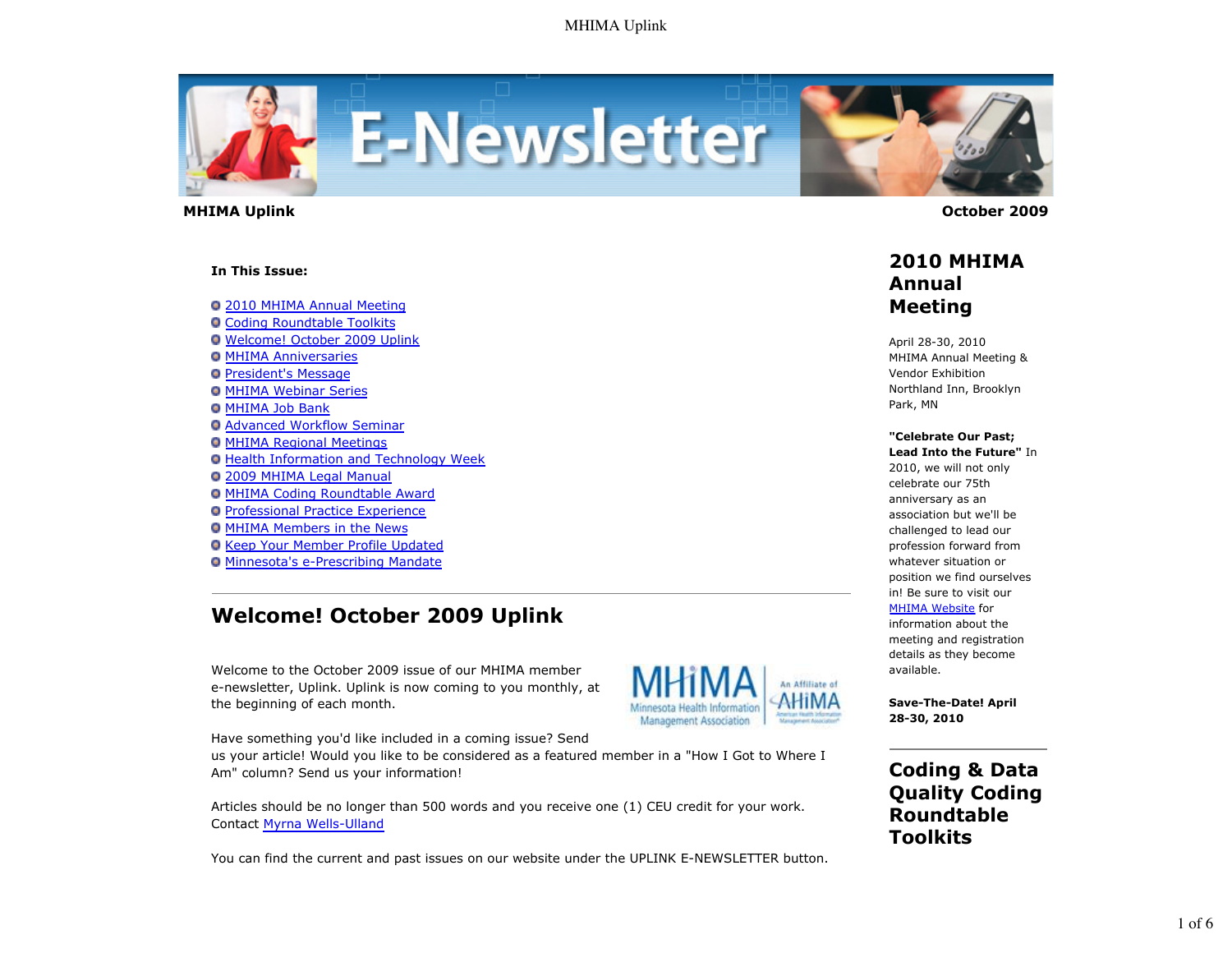

 **MHIMA Uplink October 2009** 

#### **In This Issue:**

2010 MHIMA Annual Meeting

- **O Coding Roundtable Toolkits**
- Welcome! October 2009 Uplink
- **O MHIMA Anniversaries**
- **President's Message**
- **O MHIMA Webinar Series**
- **O MHIMA Job Bank**
- Advanced Workflow Seminar
- MHIMA Regional Meetings
- **O Health Information and Technology Week**
- 2009 MHIMA Legal Manual
- MHIMA Coding Roundtable Award
- Professional Practice Experience
- **O MHIMA Members in the News**
- **Q Keep Your Member Profile Updated**
- Minnesota's e-Prescribing Mandate

# **Welcome! October 2009 Uplink**

Welcome to the October 2009 issue of our MHIMA member e-newsletter, Uplink. Uplink is now coming to you monthly, at the beginning of each month.



Have something you'd like included in a coming issue? Send

us your article! Would you like to be considered as a featured member in a "How I Got to Where I Am" column? Send us your information!

Articles should be no longer than 500 words and you receive one (1) CEU credit for your work. Contact Myrna Wells-Ulland

You can find the current and past issues on our website under the UPLINK E-NEWSLETTER button.



#### **2010 MHIMA Annual Meeting**

April 28-30, 2010 MHIMA Annual Meeting & Vendor Exhibition Northland Inn, Brooklyn Park, MN

#### **"Celebrate Our Past;**

**Lead Into the Future"** In 2010, we will not only celebrate our 75th anniversary as an association but we'll be challenged to lead our profession forward from whatever situation or position we find ourselves in! Be sure to visit our **MHIMA Website** for

information about the meeting and registration details as they become available.

**Save-The-Date! April 28-30, 2010**

**Coding & Data Quality Coding Roundtable Toolkits**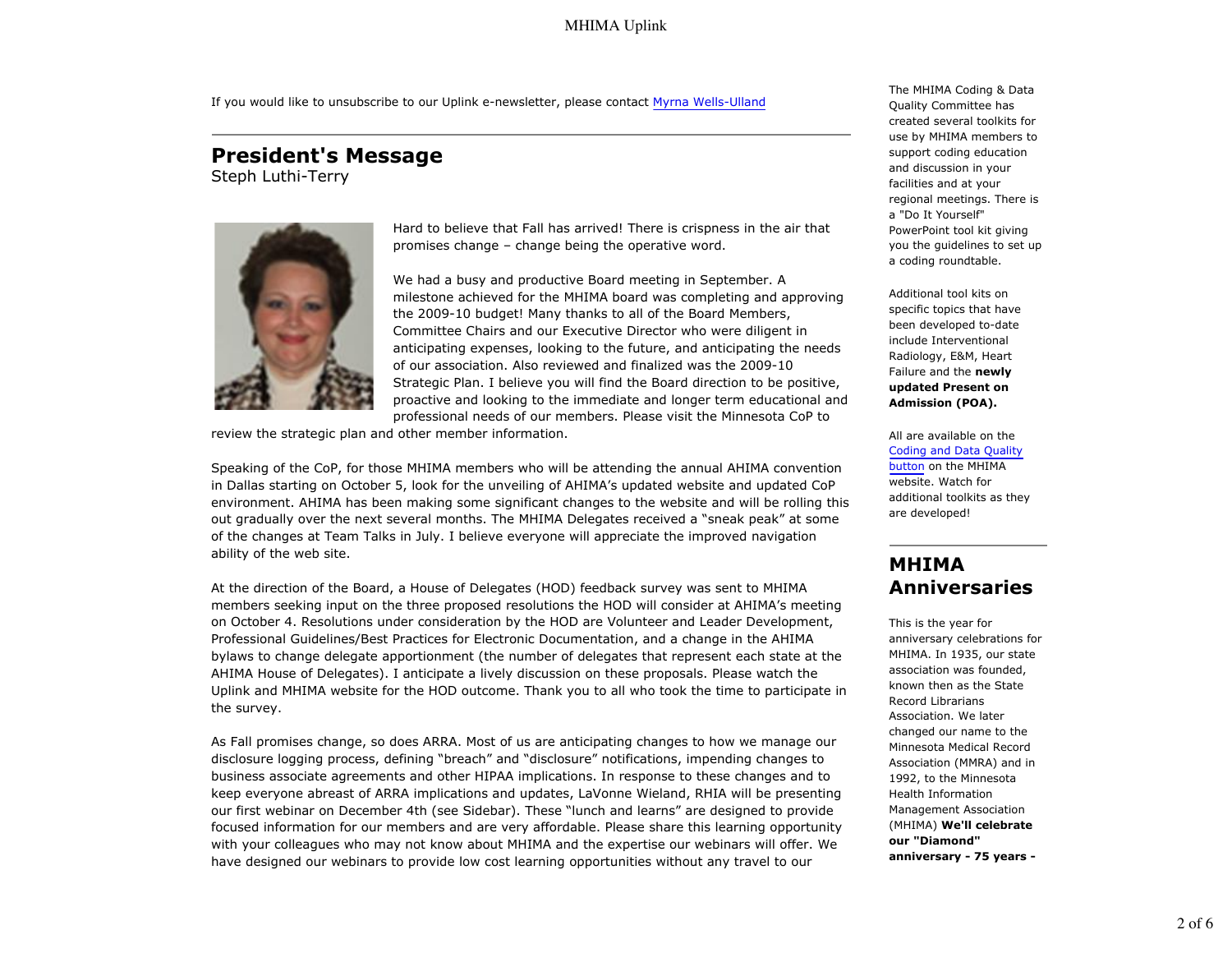#### MHIMA Uplink

If you would like to unsubscribe to our Uplink e-newsletter, please contact Myrna Wells-Ulland

# **President's Message**

Steph Luthi-Terry



Hard to believe that Fall has arrived! There is crispness in the air that promises change – change being the operative word.

We had a busy and productive Board meeting in September. A milestone achieved for the MHIMA board was completing and approving the 2009-10 budget! Many thanks to all of the Board Members, Committee Chairs and our Executive Director who were diligent in anticipating expenses, looking to the future, and anticipating the needs of our association. Also reviewed and finalized was the 2009-10 Strategic Plan. I believe you will find the Board direction to be positive, proactive and looking to the immediate and longer term educational and professional needs of our members. Please visit the Minnesota CoP to

review the strategic plan and other member information.

Speaking of the CoP, for those MHIMA members who will be attending the annual AHIMA convention in Dallas starting on October 5, look for the unveiling of AHIMA's updated website and updated CoP environment. AHIMA has been making some significant changes to the website and will be rolling this out gradually over the next several months. The MHIMA Delegates received a "sneak peak" at some of the changes at Team Talks in July. I believe everyone will appreciate the improved navigation ability of the web site.

At the direction of the Board, a House of Delegates (HOD) feedback survey was sent to MHIMA members seeking input on the three proposed resolutions the HOD will consider at AHIMA's meeting on October 4. Resolutions under consideration by the HOD are Volunteer and Leader Development, Professional Guidelines/Best Practices for Electronic Documentation, and a change in the AHIMA bylaws to change delegate apportionment (the number of delegates that represent each state at the AHIMA House of Delegates). I anticipate a lively discussion on these proposals. Please watch the Uplink and MHIMA website for the HOD outcome. Thank you to all who took the time to participate in the survey.

As Fall promises change, so does ARRA. Most of us are anticipating changes to how we manage our disclosure logging process, defining "breach" and "disclosure" notifications, impending changes to business associate agreements and other HIPAA implications. In response to these changes and to keep everyone abreast of ARRA implications and updates, LaVonne Wieland, RHIA will be presenting our first webinar on December 4th (see Sidebar). These "lunch and learns" are designed to provide focused information for our members and are very affordable. Please share this learning opportunity with your colleagues who may not know about MHIMA and the expertise our webinars will offer. We have designed our webinars to provide low cost learning opportunities without any travel to our

The MHIMA Coding & Data Quality Committee has created several toolkits for use by MHIMA members to support coding education and discussion in your facilities and at your regional meetings. There is a "Do It Yourself" PowerPoint tool kit giving you the guidelines to set up a coding roundtable.

Additional tool kits on specific topics that have been developed to-date include Interventional Radiology, E&M, Heart Failure and the **newly updated Present on Admission (POA).**

All are available on the Coding and Data Quality button on the MHIMA website. Watch for additional toolkits as they are developed!

### **MHIMA Anniversaries**

This is the year for anniversary celebrations for MHIMA. In 1935, our state association was founded, known then as the State Record Librarians Association. We later changed our name to the Minnesota Medical Record Association (MMRA) and in 1992, to the Minnesota Health Information Management Association (MHIMA) **We'll celebrate our "Diamond" anniversary - 75 years -**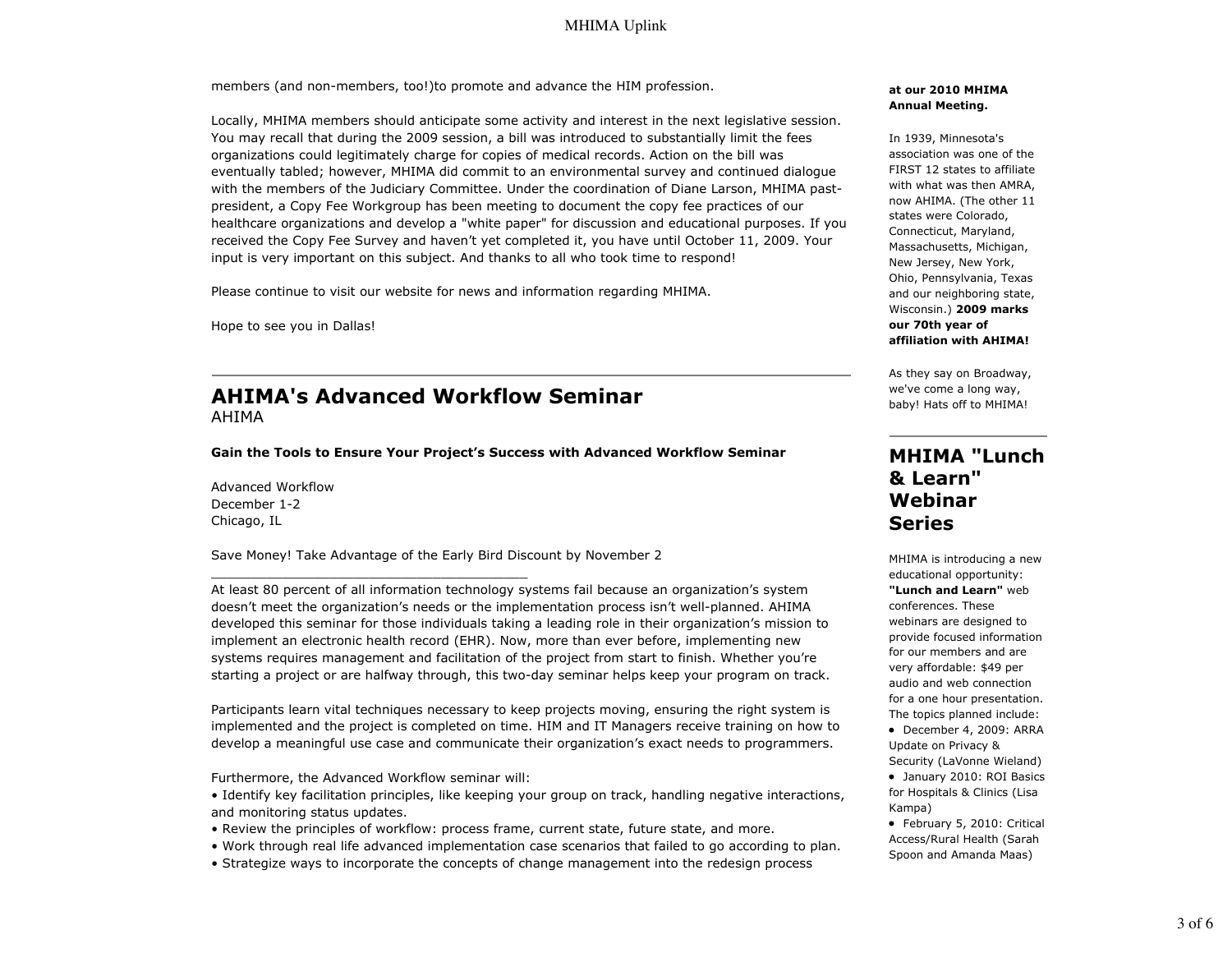#### MHIMA Uplink

members (and non-members, too!)to promote and advance the HIM profession.

Locally, MHIMA members should anticipate some activity and interest in the next legislative session. You may recall that during the 2009 session, a bill was introduced to substantially limit the fees organizations could legitimately charge for copies of medical records. Action on the bill was eventually tabled; however, MHIMA did commit to an environmental survey and continued dialogue with the members of the Judiciary Committee. Under the coordination of Diane Larson, MHIMA pastpresident, a Copy Fee Workgroup has been meeting to document the copy fee practices of our healthcare organizations and develop a "white paper" for discussion and educational purposes. If you received the Copy Fee Survey and haven't yet completed it, you have until October 11, 2009. Your input is very important on this subject. And thanks to all who took time to respond!

Please continue to visit our website for news and information regarding MHIMA.

Hope to see you in Dallas!

#### **AHIMA's Advanced Workflow Seminar** AHIMA

**Gain the Tools to Ensure Your Project's Success with Advanced Workflow Seminar**

Advanced Workflow December 1-2 Chicago, IL

Save Money! Take Advantage of the Early Bird Discount by November 2

At least 80 percent of all information technology systems fail because an organization's system doesn't meet the organization's needs or the implementation process isn't well-planned. AHIMA developed this seminar for those individuals taking a leading role in their organization's mission to implement an electronic health record (EHR). Now, more than ever before, implementing new systems requires management and facilitation of the project from start to finish. Whether you're starting a project or are halfway through, this two-day seminar helps keep your program on track.

Participants learn vital techniques necessary to keep projects moving, ensuring the right system is implemented and the project is completed on time. HIM and IT Managers receive training on how to develop a meaningful use case and communicate their organization's exact needs to programmers.

Furthermore, the Advanced Workflow seminar will:

\_\_\_\_\_\_\_\_\_\_\_\_\_\_\_\_\_\_\_\_\_\_\_\_\_\_\_\_\_\_\_\_\_\_\_\_\_\_\_\_

- Identify key facilitation principles, like keeping your group on track, handling negative interactions, and monitoring status updates.
- Review the principles of workflow: process frame, current state, future state, and more.
- Work through real life advanced implementation case scenarios that failed to go according to plan.
- Strategize ways to incorporate the concepts of change management into the redesign process

#### **at our 2010 MHIMA Annual Meeting.**

In 1939, Minnesota's association was one of the FIRST 12 states to affiliate with what was then AMRA, now AHIMA. (The other 11 states were Colorado, Connecticut, Maryland, Massachusetts, Michigan, New Jersey, New York, Ohio, Pennsylvania, Texas and our neighboring state, Wisconsin.) **2009 marks our 70th year of affiliation with AHIMA!**

As they say on Broadway, we've come a long way, baby! Hats off to MHIMA!

### **MHIMA "Lunch & Learn" Webinar Series**

MHIMA is introducing a new educational opportunity: **"Lunch and Learn"** web conferences. These webinars are designed to provide focused information for our members and are very affordable: \$49 per audio and web connection for a one hour presentation. The topics planned include:

 December 4, 2009: ARRA Update on Privacy & Security (LaVonne Wieland)

 January 2010: ROI Basics for Hospitals & Clinics (Lisa Kampa)

 February 5, 2010: Critical Access/Rural Health (Sarah Spoon and Amanda Maas)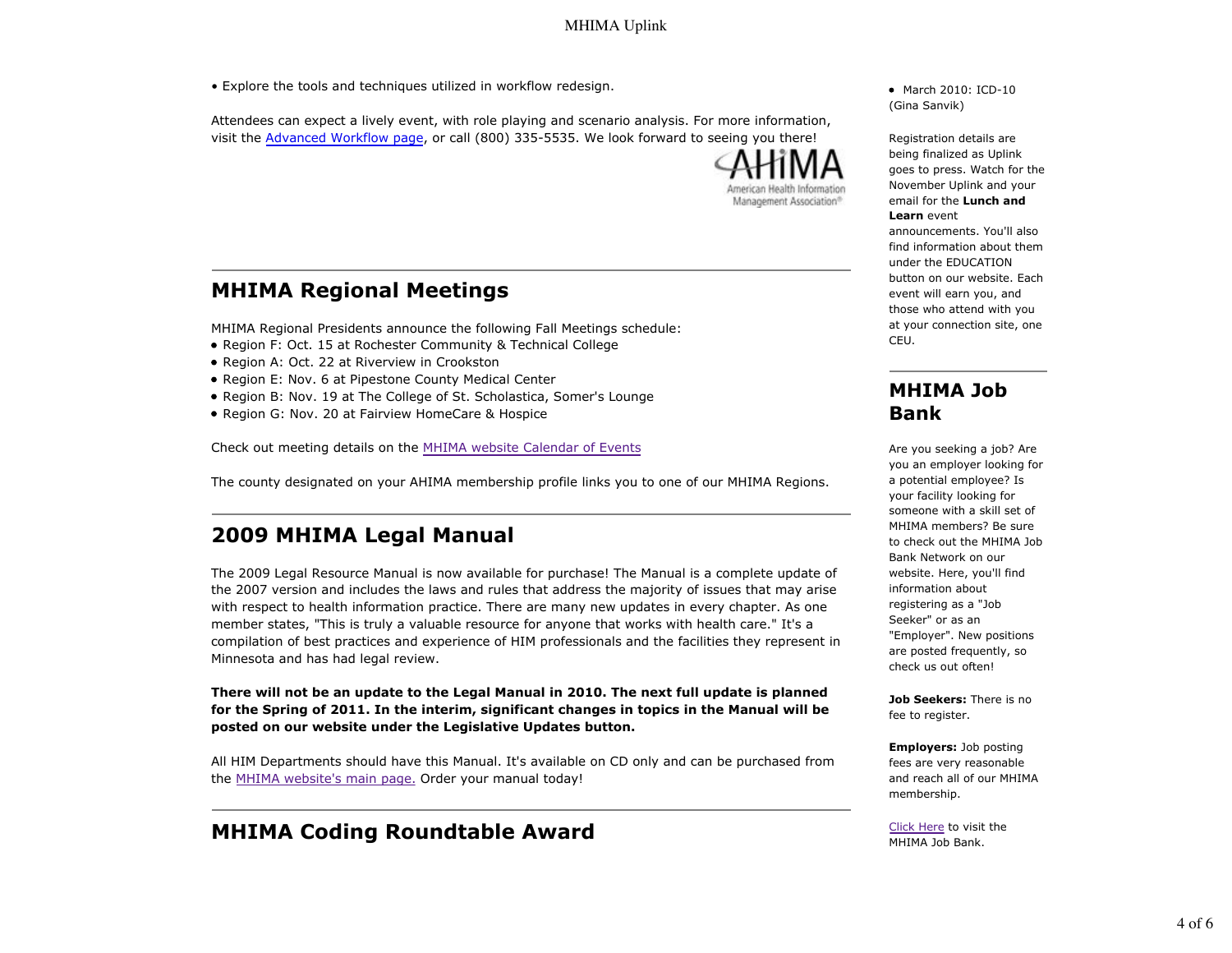• Explore the tools and techniques utilized in workflow redesign.

Attendees can expect a lively event, with role playing and scenario analysis. For more information, visit the Advanced Workflow page, or call (800) 335-5535. We look forward to seeing you there!



### **MHIMA Regional Meetings**

MHIMA Regional Presidents announce the following Fall Meetings schedule:

- Region F: Oct. 15 at Rochester Community & Technical College
- Region A: Oct. 22 at Riverview in Crookston
- Region E: Nov. 6 at Pipestone County Medical Center
- Region B: Nov. 19 at The College of St. Scholastica, Somer's Lounge
- Region G: Nov. 20 at Fairview HomeCare & Hospice

Check out meeting details on the MHIMA website Calendar of Events

The county designated on your AHIMA membership profile links you to one of our MHIMA Regions.

## **2009 MHIMA Legal Manual**

The 2009 Legal Resource Manual is now available for purchase! The Manual is a complete update of the 2007 version and includes the laws and rules that address the majority of issues that may arise with respect to health information practice. There are many new updates in every chapter. As one member states, "This is truly a valuable resource for anyone that works with health care." It's a compilation of best practices and experience of HIM professionals and the facilities they represent in Minnesota and has had legal review.

**There will not be an update to the Legal Manual in 2010. The next full update is planned for the Spring of 2011. In the interim, significant changes in topics in the Manual will be posted on our website under the Legislative Updates button.**

All HIM Departments should have this Manual. It's available on CD only and can be purchased from the MHIMA website's main page. Order your manual today!

## **MHIMA Coding Roundtable Award**

• March 2010: ICD-10 (Gina Sanvik)

Registration details are being finalized as Uplink goes to press. Watch for the November Uplink and your email for the **Lunch and**

#### **Learn** event

announcements. You'll also find information about them under the EDUCATION button on our website. Each event will earn you, and those who attend with you at your connection site, one CEU.

#### **MHIMA Job Bank**

Are you seeking a job? Are you an employer looking for a potential employee? Is your facility looking for someone with a skill set of MHIMA members? Be sure to check out the MHIMA Job Bank Network on our website. Here, you'll find information about registering as a "Job Seeker" or as an "Employer". New positions are posted frequently, so check us out often!

**Job Seekers:** There is no fee to register.

**Employers:** Job posting fees are very reasonable and reach all of our MHIMA membership.

Click Here to visit the MHIMA Job Bank.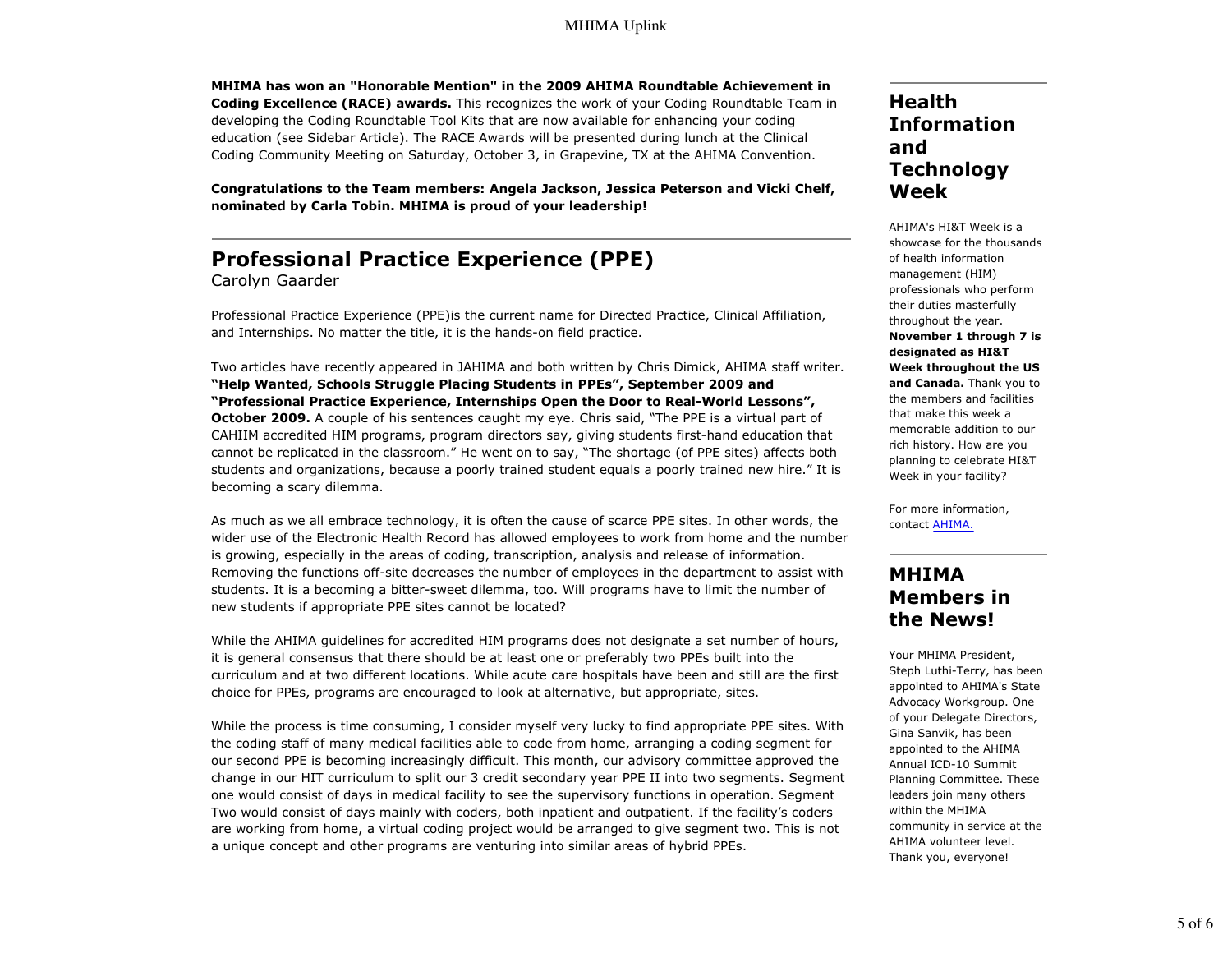**MHIMA has won an "Honorable Mention" in the 2009 AHIMA Roundtable Achievement in Coding Excellence (RACE) awards.** This recognizes the work of your Coding Roundtable Team in developing the Coding Roundtable Tool Kits that are now available for enhancing your coding education (see Sidebar Article). The RACE Awards will be presented during lunch at the Clinical Coding Community Meeting on Saturday, October 3, in Grapevine, TX at the AHIMA Convention.

**Congratulations to the Team members: Angela Jackson, Jessica Peterson and Vicki Chelf, nominated by Carla Tobin. MHIMA is proud of your leadership!**

# **Professional Practice Experience (PPE)**

Carolyn Gaarder

Professional Practice Experience (PPE)is the current name for Directed Practice, Clinical Affiliation, and Internships. No matter the title, it is the hands-on field practice.

Two articles have recently appeared in JAHIMA and both written by Chris Dimick, AHIMA staff writer. **"Help Wanted, Schools Struggle Placing Students in PPEs", September 2009 and "Professional Practice Experience, Internships Open the Door to Real-World Lessons", October 2009.** A couple of his sentences caught my eye. Chris said, "The PPE is a virtual part of CAHIIM accredited HIM programs, program directors say, giving students first-hand education that cannot be replicated in the classroom." He went on to say, "The shortage (of PPE sites) affects both students and organizations, because a poorly trained student equals a poorly trained new hire." It is becoming a scary dilemma.

As much as we all embrace technology, it is often the cause of scarce PPE sites. In other words, the wider use of the Electronic Health Record has allowed employees to work from home and the number is growing, especially in the areas of coding, transcription, analysis and release of information. Removing the functions off-site decreases the number of employees in the department to assist with students. It is a becoming a bitter-sweet dilemma, too. Will programs have to limit the number of new students if appropriate PPE sites cannot be located?

While the AHIMA guidelines for accredited HIM programs does not designate a set number of hours, it is general consensus that there should be at least one or preferably two PPEs built into the curriculum and at two different locations. While acute care hospitals have been and still are the first choice for PPEs, programs are encouraged to look at alternative, but appropriate, sites.

While the process is time consuming, I consider myself very lucky to find appropriate PPE sites. With the coding staff of many medical facilities able to code from home, arranging a coding segment for our second PPE is becoming increasingly difficult. This month, our advisory committee approved the change in our HIT curriculum to split our 3 credit secondary year PPE II into two segments. Segment one would consist of days in medical facility to see the supervisory functions in operation. Segment Two would consist of days mainly with coders, both inpatient and outpatient. If the facility's coders are working from home, a virtual coding project would be arranged to give segment two. This is not a unique concept and other programs are venturing into similar areas of hybrid PPEs.

### **Health Information and Technology Week**

AHIMA's HI&T Week is a showcase for the thousands of health information management (HIM) professionals who perform their duties masterfully throughout the year. **November 1 through 7 is designated as HI&T Week throughout the US and Canada.** Thank you to the members and facilities that make this week a memorable addition to our rich history. How are you planning to celebrate HI&T Week in your facility?

For more information, contact AHIMA.

### **MHIMA Members in the News!**

Your MHIMA President, Steph Luthi-Terry, has been appointed to AHIMA's State Advocacy Workgroup. One of your Delegate Directors, Gina Sanvik, has been appointed to the AHIMA Annual ICD-10 Summit Planning Committee. These leaders join many others within the MHIMA community in service at the AHIMA volunteer level. Thank you, everyone!